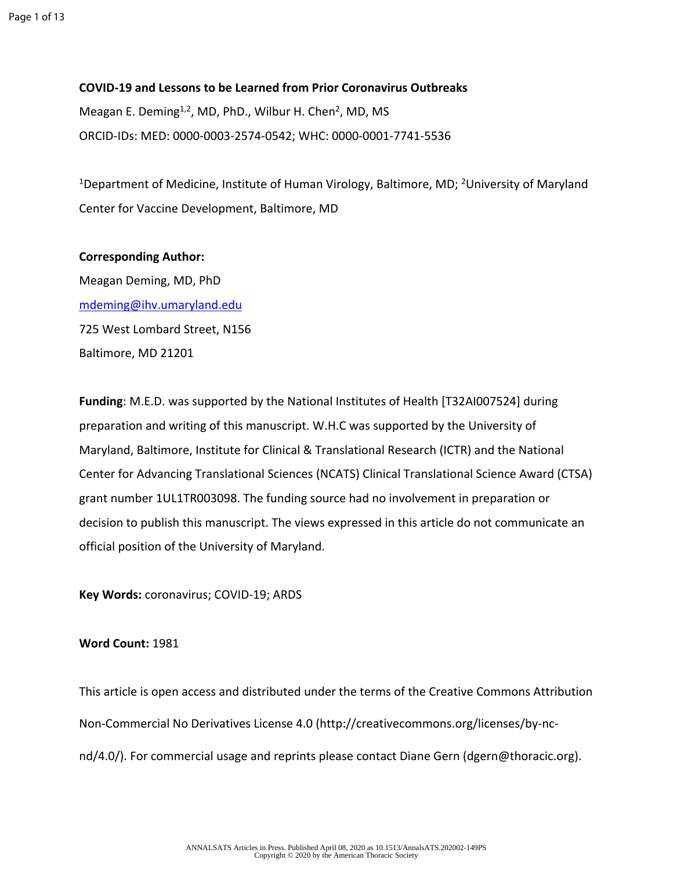**COVID-19 and Lessons to be Learned from Prior Coronavirus Outbreaks** Meagan E. Deming<sup>1,2</sup>, MD, PhD., Wilbur H. Chen<sup>2</sup>, MD, MS ORCID-IDs: MED: 0000-0003-2574-0542; WHC: 0000-0001-7741-5536

<sup>1</sup>Department of Medicine, Institute of Human Virology, Baltimore, MD; <sup>2</sup>University of Maryland Center for Vaccine Development, Baltimore, MD

#### **Corresponding Author:**

Meagan Deming, MD, PhD [mdeming@ihv.umaryland.edu](mailto:mdeming@ihv.umaryland.edu) 725 West Lombard Street, N156 Baltimore, MD 21201

**Funding**: M.E.D. was supported by the National Institutes of Health [T32AI007524] during preparation and writing of this manuscript. W.H.C was supported by the University of Maryland, Baltimore, Institute for Clinical & Translational Research (ICTR) and the National Center for Advancing Translational Sciences (NCATS) Clinical Translational Science Award (CTSA) grant number 1UL1TR003098. The funding source had no involvement in preparation or decision to publish this manuscript. The views expressed in this article do not communicate an official position of the University of Maryland.

**Key Words:** coronavirus; COVID-19; ARDS

#### **Word Count:** 1981

This article is open access and distributed under the terms of the Creative Commons Attribution Non-Commercial No Derivatives License 4.0 (http://creativecommons.org/licenses/by-ncnd/4.0/). For commercial usage and reprints please contact Diane Gern (dgern@thoracic.org).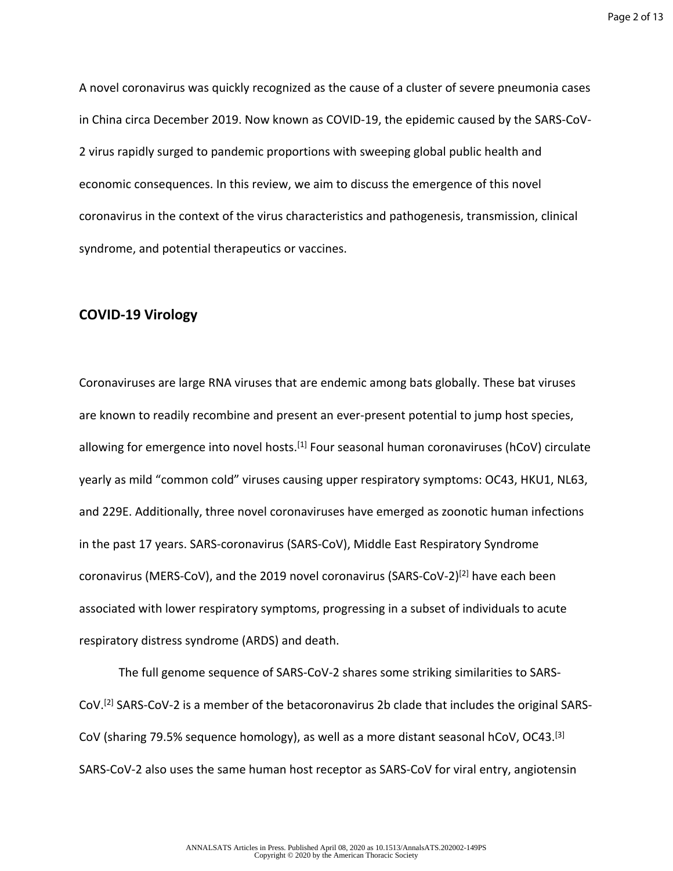Page 2 of 13

A novel coronavirus was quickly recognized as the cause of a cluster of severe pneumonia cases in China circa December 2019. Now known as COVID-19, the epidemic caused by the SARS-CoV-2 virus rapidly surged to pandemic proportions with sweeping global public health and economic consequences. In this review, we aim to discuss the emergence of this novel coronavirus in the context of the virus characteristics and pathogenesis, transmission, clinical syndrome, and potential therapeutics or vaccines.

# **COVID-19 Virology**

Coronaviruses are large RNA viruses that are endemic among bats globally. These bat viruses are known to readily recombine and present an ever-present potential to jump host species, allowing for emergence into novel hosts.<sup>[1]</sup> Four seasonal human coronaviruses (hCoV) circulate yearly as mild "common cold" viruses causing upper respiratory symptoms: OC43, HKU1, NL63, and 229E. Additionally, three novel coronaviruses have emerged as zoonotic human infections in the past 17 years. SARS-coronavirus (SARS-CoV), Middle East Respiratory Syndrome coronavirus (MERS-CoV), and the 2019 novel coronavirus (SARS-CoV-2)[2] have each been associated with lower respiratory symptoms, progressing in a subset of individuals to acute respiratory distress syndrome (ARDS) and death.

The full genome sequence of SARS-CoV-2 shares some striking similarities to SARS-CoV.[2] SARS-CoV-2 is a member of the betacoronavirus 2b clade that includes the original SARS-CoV (sharing 79.5% sequence homology), as well as a more distant seasonal hCoV, OC43.<sup>[3]</sup> SARS-CoV-2 also uses the same human host receptor as SARS-CoV for viral entry, angiotensin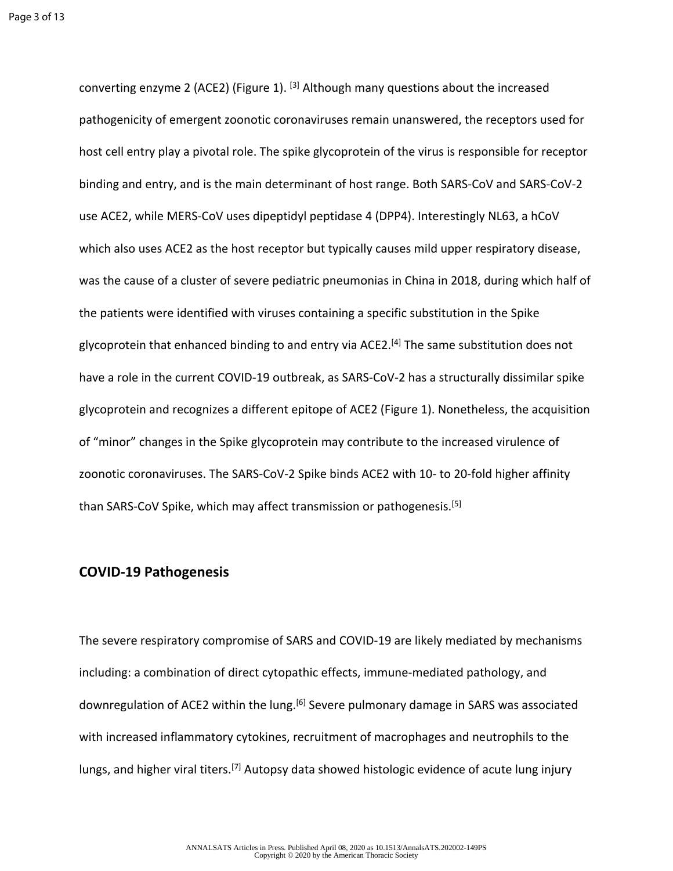converting enzyme 2 (ACE2) (Figure 1). [3] Although many questions about the increased pathogenicity of emergent zoonotic coronaviruses remain unanswered, the receptors used for host cell entry play a pivotal role. The spike glycoprotein of the virus is responsible for receptor binding and entry, and is the main determinant of host range. Both SARS-CoV and SARS-CoV-2 use ACE2, while MERS-CoV uses dipeptidyl peptidase 4 (DPP4). Interestingly NL63, a hCoV which also uses ACE2 as the host receptor but typically causes mild upper respiratory disease, was the cause of a cluster of severe pediatric pneumonias in China in 2018, during which half of the patients were identified with viruses containing a specific substitution in the Spike glycoprotein that enhanced binding to and entry via ACE2.<sup>[4]</sup> The same substitution does not have a role in the current COVID-19 outbreak, as SARS-CoV-2 has a structurally dissimilar spike glycoprotein and recognizes a different epitope of ACE2 (Figure 1). Nonetheless, the acquisition of "minor" changes in the Spike glycoprotein may contribute to the increased virulence of zoonotic coronaviruses. The SARS-CoV-2 Spike binds ACE2 with 10- to 20-fold higher affinity than SARS-CoV Spike, which may affect transmission or pathogenesis.[5]

#### **COVID-19 Pathogenesis**

The severe respiratory compromise of SARS and COVID-19 are likely mediated by mechanisms including: a combination of direct cytopathic effects, immune-mediated pathology, and downregulation of ACE2 within the lung.<sup>[6]</sup> Severe pulmonary damage in SARS was associated with increased inflammatory cytokines, recruitment of macrophages and neutrophils to the lungs, and higher viral titers.<sup>[7]</sup> Autopsy data showed histologic evidence of acute lung injury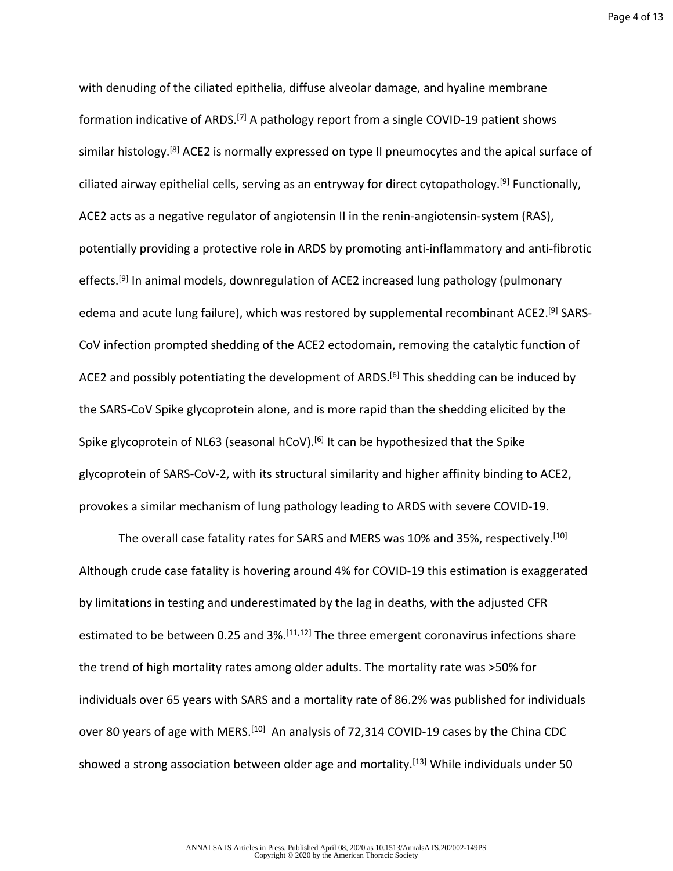Page 4 of 13

with denuding of the ciliated epithelia, diffuse alveolar damage, and hyaline membrane formation indicative of ARDS.<sup>[7]</sup> A pathology report from a single COVID-19 patient shows similar histology.<sup>[8]</sup> ACE2 is normally expressed on type II pneumocytes and the apical surface of ciliated airway epithelial cells, serving as an entryway for direct cytopathology.<sup>[9]</sup> Functionally, ACE2 acts as a negative regulator of angiotensin II in the renin-angiotensin-system (RAS), potentially providing a protective role in ARDS by promoting anti-inflammatory and anti-fibrotic effects.<sup>[9]</sup> In animal models, downregulation of ACE2 increased lung pathology (pulmonary edema and acute lung failure), which was restored by supplemental recombinant ACE2.<sup>[9]</sup> SARS-CoV infection prompted shedding of the ACE2 ectodomain, removing the catalytic function of ACE2 and possibly potentiating the development of ARDS.<sup>[6]</sup> This shedding can be induced by the SARS-CoV Spike glycoprotein alone, and is more rapid than the shedding elicited by the Spike glycoprotein of NL63 (seasonal hCoV).<sup>[6]</sup> It can be hypothesized that the Spike glycoprotein of SARS-CoV-2, with its structural similarity and higher affinity binding to ACE2, provokes a similar mechanism of lung pathology leading to ARDS with severe COVID-19.

The overall case fatality rates for SARS and MERS was 10% and 35%, respectively.<sup>[10]</sup> Although crude case fatality is hovering around 4% for COVID-19 this estimation is exaggerated by limitations in testing and underestimated by the lag in deaths, with the adjusted CFR estimated to be between 0.25 and 3%.<sup>[11,12]</sup> The three emergent coronavirus infections share the trend of high mortality rates among older adults. The mortality rate was >50% for individuals over 65 years with SARS and a mortality rate of 86.2% was published for individuals over 80 years of age with MERS.<sup>[10]</sup> An analysis of 72,314 COVID-19 cases by the China CDC showed a strong association between older age and mortality.<sup>[13]</sup> While individuals under 50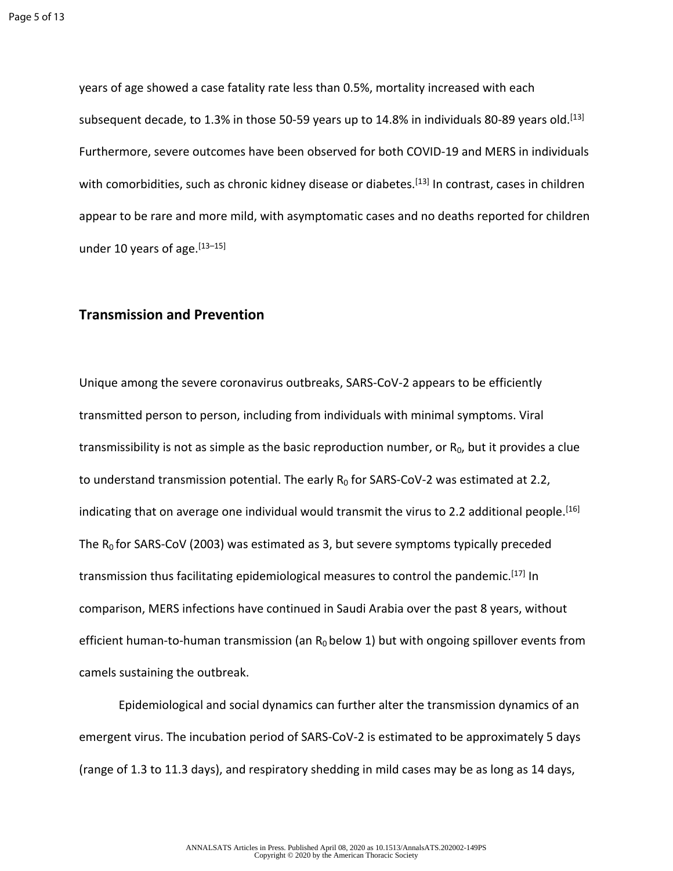years of age showed a case fatality rate less than 0.5%, mortality increased with each subsequent decade, to 1.3% in those 50-59 years up to 14.8% in individuals 80-89 years old.<sup>[13]</sup> Furthermore, severe outcomes have been observed for both COVID-19 and MERS in individuals with comorbidities, such as chronic kidney disease or diabetes.<sup>[13]</sup> In contrast, cases in children appear to be rare and more mild, with asymptomatic cases and no deaths reported for children under 10 years of age. $[13-15]$ 

#### **Transmission and Prevention**

Unique among the severe coronavirus outbreaks, SARS-CoV-2 appears to be efficiently transmitted person to person, including from individuals with minimal symptoms. Viral transmissibility is not as simple as the basic reproduction number, or  $R_0$ , but it provides a clue to understand transmission potential. The early  $R_0$  for SARS-CoV-2 was estimated at 2.2, indicating that on average one individual would transmit the virus to 2.2 additional people.<sup>[16]</sup> The  $R_0$  for SARS-CoV (2003) was estimated as 3, but severe symptoms typically preceded transmission thus facilitating epidemiological measures to control the pandemic.[17] In comparison, MERS infections have continued in Saudi Arabia over the past 8 years, without efficient human-to-human transmission (an  $R_0$  below 1) but with ongoing spillover events from camels sustaining the outbreak.

Epidemiological and social dynamics can further alter the transmission dynamics of an emergent virus. The incubation period of SARS-CoV-2 is estimated to be approximately 5 days (range of 1.3 to 11.3 days), and respiratory shedding in mild cases may be as long as 14 days,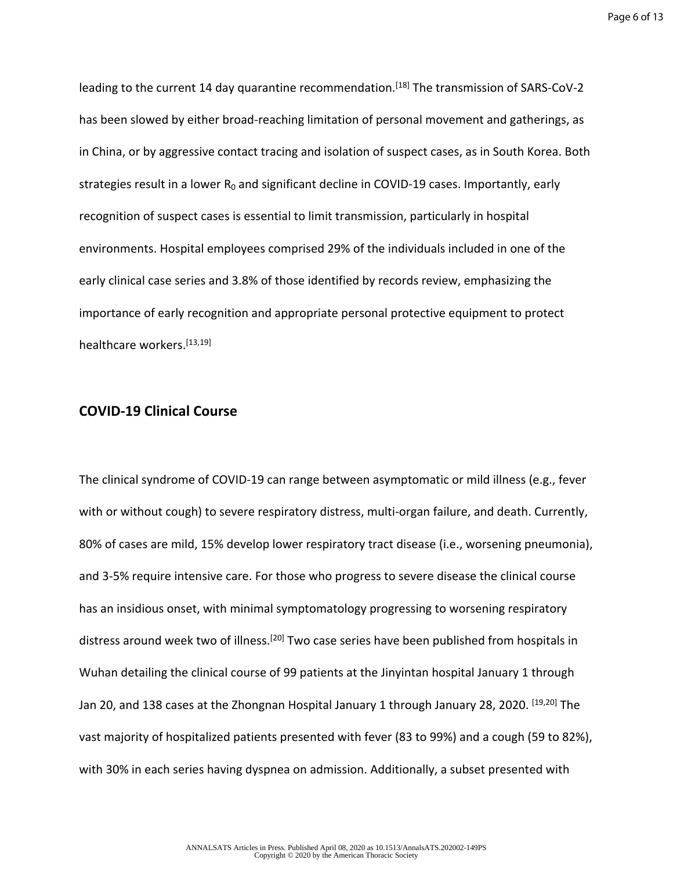Page 6 of 13

leading to the current 14 day quarantine recommendation.<sup>[18]</sup> The transmission of SARS-CoV-2 has been slowed by either broad-reaching limitation of personal movement and gatherings, as in China, or by aggressive contact tracing and isolation of suspect cases, as in South Korea. Both strategies result in a lower  $R_0$  and significant decline in COVID-19 cases. Importantly, early recognition of suspect cases is essential to limit transmission, particularly in hospital environments. Hospital employees comprised 29% of the individuals included in one of the early clinical case series and 3.8% of those identified by records review, emphasizing the importance of early recognition and appropriate personal protective equipment to protect healthcare workers.[13,19]

### **COVID-19 Clinical Course**

The clinical syndrome of COVID-19 can range between asymptomatic or mild illness (e.g., fever with or without cough) to severe respiratory distress, multi-organ failure, and death. Currently, 80% of cases are mild, 15% develop lower respiratory tract disease (i.e., worsening pneumonia), and 3-5% require intensive care. For those who progress to severe disease the clinical course has an insidious onset, with minimal symptomatology progressing to worsening respiratory distress around week two of illness.<sup>[20]</sup> Two case series have been published from hospitals in Wuhan detailing the clinical course of 99 patients at the Jinyintan hospital January 1 through Jan 20, and 138 cases at the Zhongnan Hospital January 1 through January 28, 2020. [19,20] The vast majority of hospitalized patients presented with fever (83 to 99%) and a cough (59 to 82%), with 30% in each series having dyspnea on admission. Additionally, a subset presented with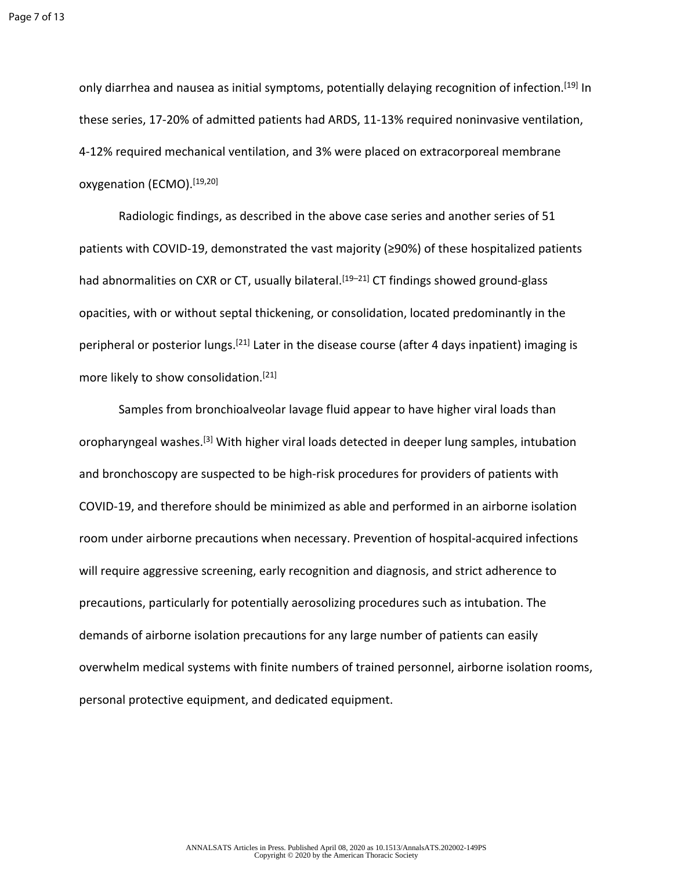only diarrhea and nausea as initial symptoms, potentially delaying recognition of infection.[19] In these series, 17-20% of admitted patients had ARDS, 11-13% required noninvasive ventilation, 4-12% required mechanical ventilation, and 3% were placed on extracorporeal membrane oxygenation (ECMO).[19,20]

Radiologic findings, as described in the above case series and another series of 51 patients with COVID-19, demonstrated the vast majority (≥90%) of these hospitalized patients had abnormalities on CXR or CT, usually bilateral.<sup>[19–21]</sup> CT findings showed ground-glass opacities, with or without septal thickening, or consolidation, located predominantly in the peripheral or posterior lungs.[21] Later in the disease course (after 4 days inpatient) imaging is more likely to show consolidation.<sup>[21]</sup>

Samples from bronchioalveolar lavage fluid appear to have higher viral loads than oropharyngeal washes.[3] With higher viral loads detected in deeper lung samples, intubation and bronchoscopy are suspected to be high-risk procedures for providers of patients with COVID-19, and therefore should be minimized as able and performed in an airborne isolation room under airborne precautions when necessary. Prevention of hospital-acquired infections will require aggressive screening, early recognition and diagnosis, and strict adherence to precautions, particularly for potentially aerosolizing procedures such as intubation. The demands of airborne isolation precautions for any large number of patients can easily overwhelm medical systems with finite numbers of trained personnel, airborne isolation rooms, personal protective equipment, and dedicated equipment.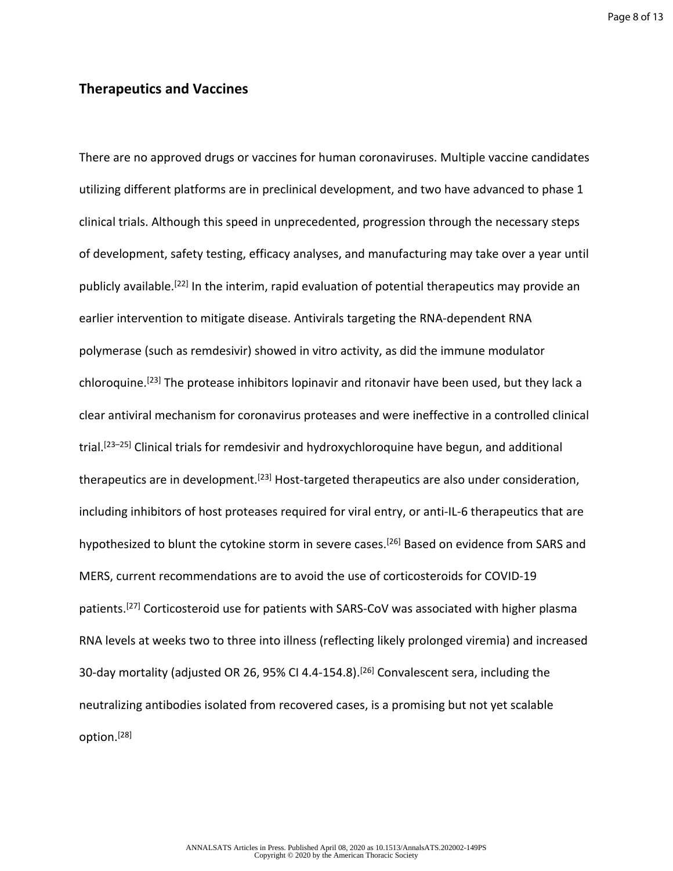Page 8 of 13

# **Therapeutics and Vaccines**

There are no approved drugs or vaccines for human coronaviruses. Multiple vaccine candidates utilizing different platforms are in preclinical development, and two have advanced to phase 1 clinical trials. Although this speed in unprecedented, progression through the necessary steps of development, safety testing, efficacy analyses, and manufacturing may take over a year until publicly available.[22] In the interim, rapid evaluation of potential therapeutics may provide an earlier intervention to mitigate disease. Antivirals targeting the RNA-dependent RNA polymerase (such as remdesivir) showed in vitro activity, as did the immune modulator chloroquine.[23] The protease inhibitors lopinavir and ritonavir have been used, but they lack a clear antiviral mechanism for coronavirus proteases and were ineffective in a controlled clinical trial.<sup>[23–25]</sup> Clinical trials for remdesivir and hydroxychloroquine have begun, and additional therapeutics are in development.<sup>[23]</sup> Host-targeted therapeutics are also under consideration, including inhibitors of host proteases required for viral entry, or anti-IL-6 therapeutics that are hypothesized to blunt the cytokine storm in severe cases.<sup>[26]</sup> Based on evidence from SARS and MERS, current recommendations are to avoid the use of corticosteroids for COVID-19 patients.[27] Corticosteroid use for patients with SARS-CoV was associated with higher plasma RNA levels at weeks two to three into illness (reflecting likely prolonged viremia) and increased 30-day mortality (adjusted OR 26, 95% CI 4.4-154.8).<sup>[26]</sup> Convalescent sera, including the neutralizing antibodies isolated from recovered cases, is a promising but not yet scalable option.[28]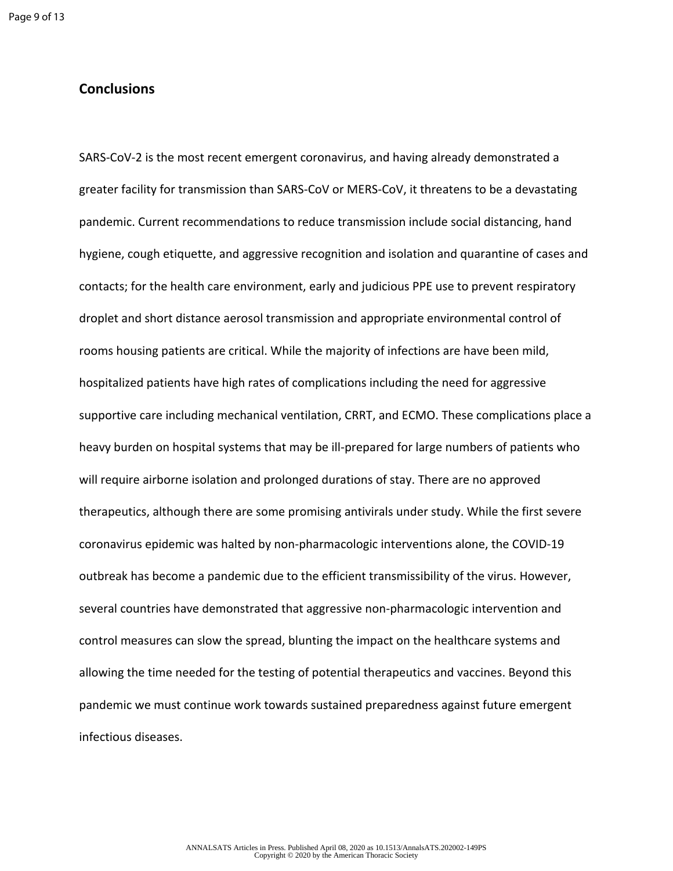# **Conclusions**

SARS-CoV-2 is the most recent emergent coronavirus, and having already demonstrated a greater facility for transmission than SARS-CoV or MERS-CoV, it threatens to be a devastating pandemic. Current recommendations to reduce transmission include social distancing, hand hygiene, cough etiquette, and aggressive recognition and isolation and quarantine of cases and contacts; for the health care environment, early and judicious PPE use to prevent respiratory droplet and short distance aerosol transmission and appropriate environmental control of rooms housing patients are critical. While the majority of infections are have been mild, hospitalized patients have high rates of complications including the need for aggressive supportive care including mechanical ventilation, CRRT, and ECMO. These complications place a heavy burden on hospital systems that may be ill-prepared for large numbers of patients who will require airborne isolation and prolonged durations of stay. There are no approved therapeutics, although there are some promising antivirals under study. While the first severe coronavirus epidemic was halted by non-pharmacologic interventions alone, the COVID-19 outbreak has become a pandemic due to the efficient transmissibility of the virus. However, several countries have demonstrated that aggressive non-pharmacologic intervention and control measures can slow the spread, blunting the impact on the healthcare systems and allowing the time needed for the testing of potential therapeutics and vaccines. Beyond this pandemic we must continue work towards sustained preparedness against future emergent infectious diseases.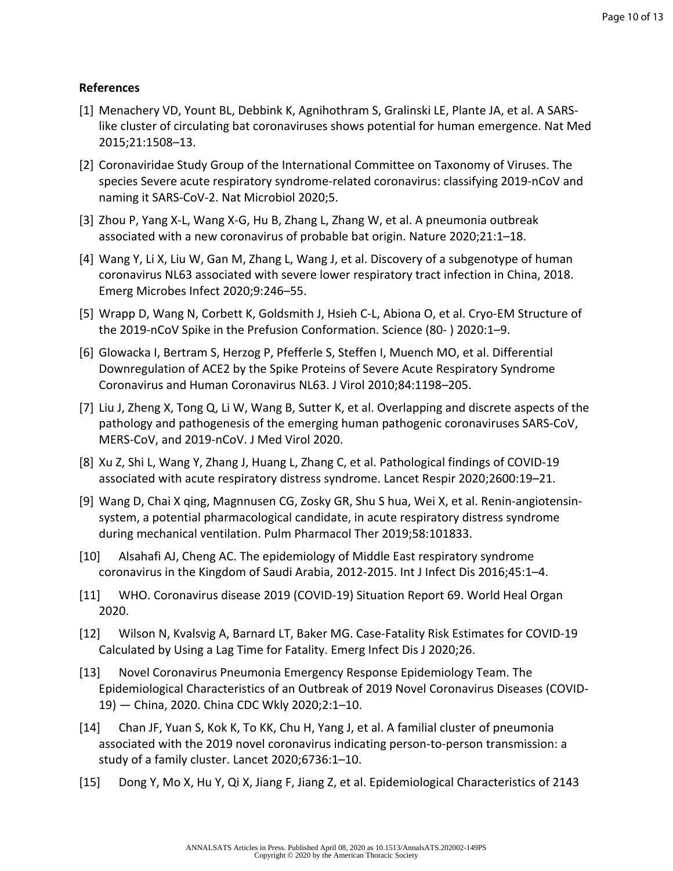# **References**

- [1] Menachery VD, Yount BL, Debbink K, Agnihothram S, Gralinski LE, Plante JA, et al. A SARSlike cluster of circulating bat coronaviruses shows potential for human emergence. Nat Med 2015;21:1508–13.
- [2] Coronaviridae Study Group of the International Committee on Taxonomy of Viruses. The species Severe acute respiratory syndrome-related coronavirus: classifying 2019-nCoV and naming it SARS-CoV-2. Nat Microbiol 2020;5.
- [3] Zhou P, Yang X-L, Wang X-G, Hu B, Zhang L, Zhang W, et al. A pneumonia outbreak associated with a new coronavirus of probable bat origin. Nature 2020;21:1–18.
- [4] Wang Y, Li X, Liu W, Gan M, Zhang L, Wang J, et al. Discovery of a subgenotype of human coronavirus NL63 associated with severe lower respiratory tract infection in China, 2018. Emerg Microbes Infect 2020;9:246–55.
- [5] Wrapp D, Wang N, Corbett K, Goldsmith J, Hsieh C-L, Abiona O, et al. Cryo-EM Structure of the 2019-nCoV Spike in the Prefusion Conformation. Science (80- ) 2020:1–9.
- [6] Glowacka I, Bertram S, Herzog P, Pfefferle S, Steffen I, Muench MO, et al. Differential Downregulation of ACE2 by the Spike Proteins of Severe Acute Respiratory Syndrome Coronavirus and Human Coronavirus NL63. J Virol 2010;84:1198–205.
- [7] Liu J, Zheng X, Tong Q, Li W, Wang B, Sutter K, et al. Overlapping and discrete aspects of the pathology and pathogenesis of the emerging human pathogenic coronaviruses SARS-CoV, MERS-CoV, and 2019-nCoV. J Med Virol 2020.
- [8] Xu Z, Shi L, Wang Y, Zhang J, Huang L, Zhang C, et al. Pathological findings of COVID-19 associated with acute respiratory distress syndrome. Lancet Respir 2020;2600:19–21.
- [9] Wang D, Chai X qing, Magnnusen CG, Zosky GR, Shu S hua, Wei X, et al. Renin-angiotensinsystem, a potential pharmacological candidate, in acute respiratory distress syndrome during mechanical ventilation. Pulm Pharmacol Ther 2019;58:101833.
- [10] Alsahafi AJ, Cheng AC. The epidemiology of Middle East respiratory syndrome coronavirus in the Kingdom of Saudi Arabia, 2012-2015. Int J Infect Dis 2016;45:1–4.
- [11] WHO. Coronavirus disease 2019 (COVID-19) Situation Report 69. World Heal Organ 2020.
- [12] Wilson N, Kvalsvig A, Barnard LT, Baker MG. Case-Fatality Risk Estimates for COVID-19 Calculated by Using a Lag Time for Fatality. Emerg Infect Dis J 2020;26.
- [13] Novel Coronavirus Pneumonia Emergency Response Epidemiology Team. The Epidemiological Characteristics of an Outbreak of 2019 Novel Coronavirus Diseases (COVID-19) — China, 2020. China CDC Wkly 2020;2:1–10.
- [14] Chan JF, Yuan S, Kok K, To KK, Chu H, Yang J, et al. A familial cluster of pneumonia associated with the 2019 novel coronavirus indicating person-to-person transmission: a study of a family cluster. Lancet 2020;6736:1–10.
- [15] Dong Y, Mo X, Hu Y, Qi X, Jiang F, Jiang Z, et al. Epidemiological Characteristics of 2143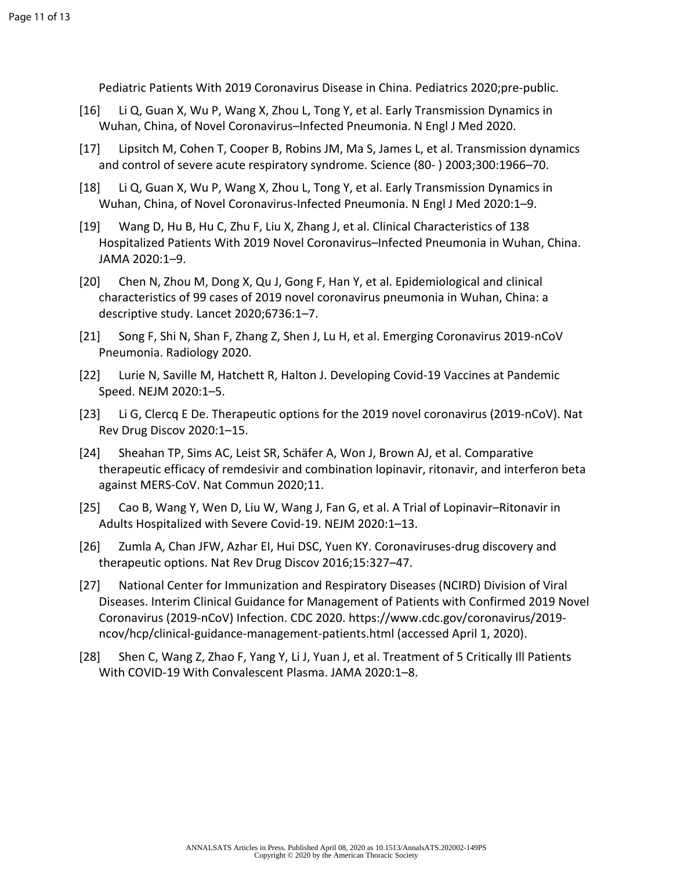Pediatric Patients With 2019 Coronavirus Disease in China. Pediatrics 2020;pre-public.

- [16] Li Q, Guan X, Wu P, Wang X, Zhou L, Tong Y, et al. Early Transmission Dynamics in Wuhan, China, of Novel Coronavirus–Infected Pneumonia. N Engl J Med 2020.
- [17] Lipsitch M, Cohen T, Cooper B, Robins JM, Ma S, James L, et al. Transmission dynamics and control of severe acute respiratory syndrome. Science (80- ) 2003;300:1966–70.
- [18] Li Q, Guan X, Wu P, Wang X, Zhou L, Tong Y, et al. Early Transmission Dynamics in Wuhan, China, of Novel Coronavirus-Infected Pneumonia. N Engl J Med 2020:1–9.
- [19] Wang D, Hu B, Hu C, Zhu F, Liu X, Zhang J, et al. Clinical Characteristics of 138 Hospitalized Patients With 2019 Novel Coronavirus–Infected Pneumonia in Wuhan, China. JAMA 2020:1–9.
- [20] Chen N, Zhou M, Dong X, Qu J, Gong F, Han Y, et al. Epidemiological and clinical characteristics of 99 cases of 2019 novel coronavirus pneumonia in Wuhan, China: a descriptive study. Lancet 2020;6736:1–7.
- [21] Song F, Shi N, Shan F, Zhang Z, Shen J, Lu H, et al. Emerging Coronavirus 2019-nCoV Pneumonia. Radiology 2020.
- [22] Lurie N, Saville M, Hatchett R, Halton J. Developing Covid-19 Vaccines at Pandemic Speed. NEJM 2020:1–5.
- [23] Li G, Clercq E De. Therapeutic options for the 2019 novel coronavirus (2019-nCoV). Nat Rev Drug Discov 2020:1–15.
- [24] Sheahan TP, Sims AC, Leist SR, Schäfer A, Won J, Brown AJ, et al. Comparative therapeutic efficacy of remdesivir and combination lopinavir, ritonavir, and interferon beta against MERS-CoV. Nat Commun 2020;11.
- [25] Cao B, Wang Y, Wen D, Liu W, Wang J, Fan G, et al. A Trial of Lopinavir–Ritonavir in Adults Hospitalized with Severe Covid-19. NEJM 2020:1–13.
- [26] Zumla A, Chan JFW, Azhar EI, Hui DSC, Yuen KY. Coronaviruses-drug discovery and therapeutic options. Nat Rev Drug Discov 2016;15:327–47.
- [27] National Center for Immunization and Respiratory Diseases (NCIRD) Division of Viral Diseases. Interim Clinical Guidance for Management of Patients with Confirmed 2019 Novel Coronavirus (2019-nCoV) Infection. CDC 2020. https://www.cdc.gov/coronavirus/2019 ncov/hcp/clinical-guidance-management-patients.html (accessed April 1, 2020).
- [28] Shen C, Wang Z, Zhao F, Yang Y, Li J, Yuan J, et al. Treatment of 5 Critically Ill Patients With COVID-19 With Convalescent Plasma. JAMA 2020:1–8.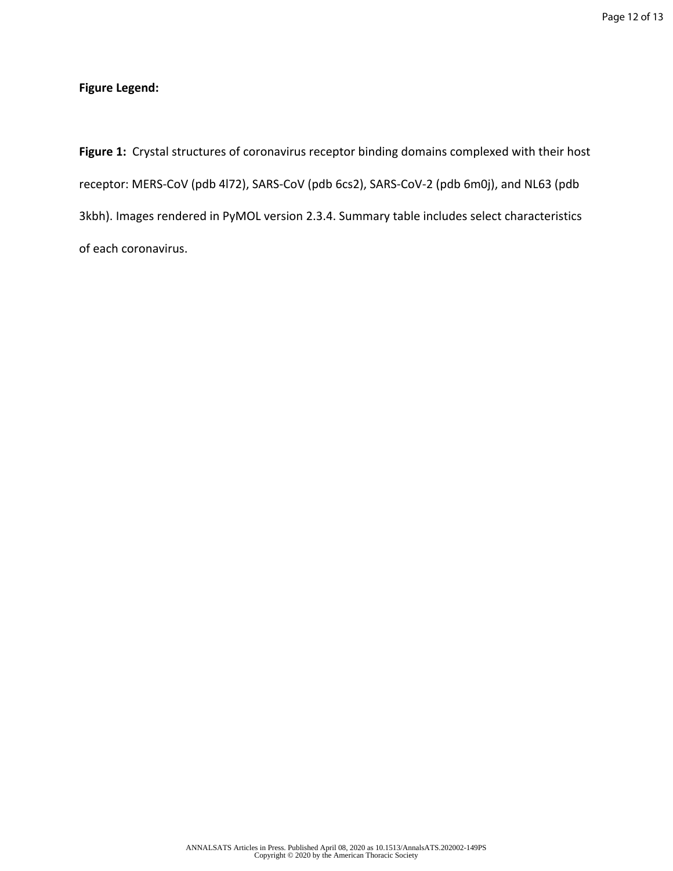# **Figure Legend:**

**Figure 1:** Crystal structures of coronavirus receptor binding domains complexed with their host receptor: MERS-CoV (pdb 4l72), SARS-CoV (pdb 6cs2), SARS-CoV-2 (pdb 6m0j), and NL63 (pdb 3kbh). Images rendered in PyMOL version 2.3.4. Summary table includes select characteristics of each coronavirus.